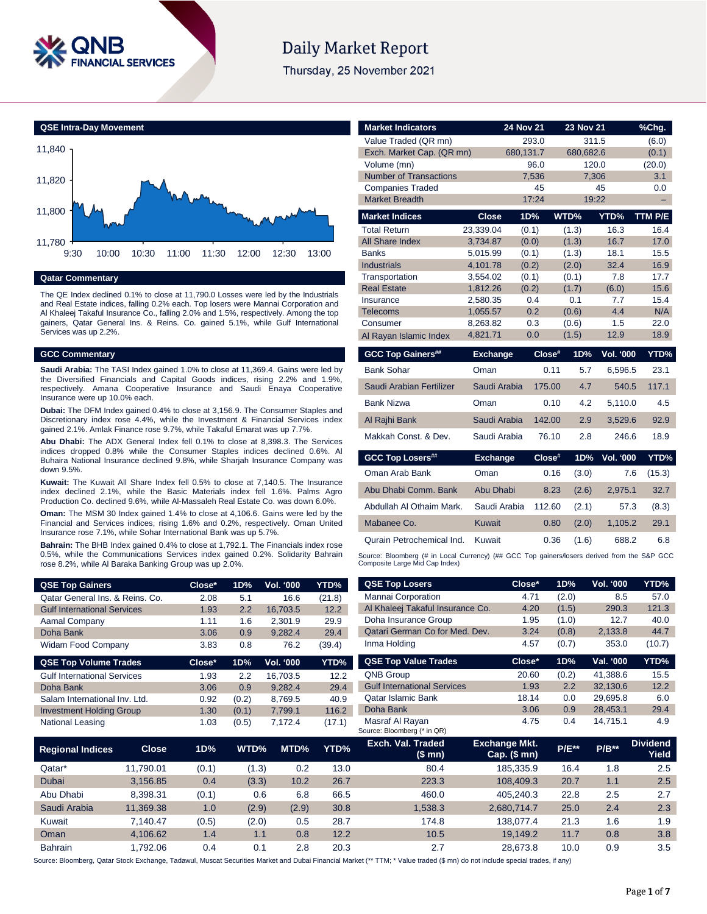

# **Daily Market Report**

Thursday, 25 November 2021



# **Qatar Commentary**

The QE Index declined 0.1% to close at 11,790.0 Losses were led by the Industrials and Real Estate indices, falling 0.2% each. Top losers were Mannai Corporation and Al Khaleej Takaful Insurance Co., falling 2.0% and 1.5%, respectively. Among the top gainers, Qatar General Ins. & Reins. Co. gained 5.1%, while Gulf International Services was up 2.2%.

#### **GCC Commentary**

**Saudi Arabia:** The TASI Index gained 1.0% to close at 11,369.4. Gains were led by the Diversified Financials and Capital Goods indices, rising 2.2% and 1.9%, respectively. Amana Cooperative Insurance and Saudi Enaya Cooperative Insurance were up 10.0% each.

**Dubai:** The DFM Index gained 0.4% to close at 3,156.9. The Consumer Staples and Discretionary index rose 4.4%, while the Investment & Financial Services index gained 2.1%. Amlak Finance rose 9.7%, while Takaful Emarat was up 7.7%.

**Abu Dhabi:** The ADX General Index fell 0.1% to close at 8,398.3. The Services indices dropped 0.8% while the Consumer Staples indices declined 0.6%. Al Buhaira National Insurance declined 9.8%, while Sharjah Insurance Company was down 9.5%.

**Kuwait:** The Kuwait All Share Index fell 0.5% to close at 7,140.5. The Insurance index declined 2.1%, while the Basic Materials index fell 1.6%. Palms Agro Production Co. declined 9.6%, while Al-Massaleh Real Estate Co. was down 6.0%.

**Oman:** The MSM 30 Index gained 1.4% to close at 4,106.6. Gains were led by the Financial and Services indices, rising 1.6% and 0.2%, respectively. Oman United Insurance rose 7.1%, while Sohar International Bank was up 5.7%.

**Bahrain:** The BHB Index gained 0.4% to close at 1,792.1. The Financials index rose 0.5%, while the Communications Services index gained 0.2%. Solidarity Bahrain rose 8.2%, while Al Baraka Banking Group was up 2.0%.

| <b>QSE Top Gainers</b>             | Close* | 1D%   | <b>Vol. '000</b> | YTD%   |
|------------------------------------|--------|-------|------------------|--------|
| Oatar General Ins. & Reins. Co.    | 2.08   | 5.1   | 16.6             | (21.8) |
| <b>Gulf International Services</b> | 1.93   | 2.2   | 16.703.5         | 12.2   |
| Aamal Company                      | 1.11   | 1.6   | 2.301.9          | 29.9   |
| Doha Bank                          | 3.06   | 0.9   | 9.282.4          | 29.4   |
| Widam Food Company                 | 3.83   | 0.8   | 76.2             | (39.4) |
| <b>QSE Top Volume Trades</b>       | Close* | 1D%   | Vol. '000        | YTD%   |
| <b>Gulf International Services</b> | 1.93   | 2.2   |                  | 12.2   |
|                                    |        |       | 16.703.5         |        |
| Doha Bank                          | 3.06   | 0.9   | 9.282.4          | 29.4   |
| Salam International Inv. Ltd.      | 0.92   | (0.2) | 8.769.5          | 40.9   |
| <b>Investment Holding Group</b>    | 1.30   | (0.1) | 7.799.1          | 116.2  |

| <b>Market Indicators</b>                 |                 | <b>24 Nov 21</b>  | <b>23 Nov 21</b>   |                  | $%$ Chg.      |
|------------------------------------------|-----------------|-------------------|--------------------|------------------|---------------|
| Value Traded (QR mn)                     |                 | 293.0             | 311.5              |                  | (6.0)         |
| Exch. Market Cap. (QR mn)<br>Volume (mn) |                 | 680,131.7<br>96.0 | 680,682.6<br>120.0 |                  | (0.1)         |
| <b>Number of Transactions</b>            |                 | 7,536             | 7,306              |                  | (20.0)<br>3.1 |
| <b>Companies Traded</b>                  |                 | 45                |                    | 45               | 0.0           |
| <b>Market Breadth</b>                    |                 | 17:24             | 19:22              |                  | ÷             |
| <b>Market Indices</b>                    | <b>Close</b>    | 1D%               | WTD%               | YTD%             | TTM P/E       |
| <b>Total Return</b>                      | 23.339.04       | (0.1)             | (1.3)              | 16.3             | 16.4          |
| <b>All Share Index</b>                   | 3,734.87        | (0.0)             | (1.3)              | 16.7             | 17.0          |
| <b>Banks</b>                             | 5,015.99        | (0.1)             | (1.3)              | 18.1             | 15.5          |
| <b>Industrials</b>                       | 4,101.78        | (0.2)             | (2.0)              | 32.4             | 16.9          |
| Transportation                           | 3,554.02        | (0.1)             | (0.1)              | 7.8              | 17.7          |
| <b>Real Estate</b>                       | 1,812.26        | (0.2)             | (1.7)              | (6.0)            | 15.6          |
| Insurance                                | 2,580.35        | 0.4               | 0.1                | 7.7              | 15.4          |
| Telecoms                                 | 1,055.57        | 0.2               | (0.6)              | 4.4              | N/A           |
| Consumer                                 | 8,263.82        | 0.3<br>0.0        | (0.6)              | 1.5<br>12.9      | 22.0          |
| Al Rayan Islamic Index                   | 4,821.71        |                   | (1.5)              |                  | 18.9          |
|                                          |                 |                   |                    |                  |               |
| <b>GCC Top Gainers##</b>                 | <b>Exchange</b> | Close#            | 1D%                | <b>Vol. '000</b> | YTD%          |
| <b>Bank Sohar</b>                        | Oman            | 0.11              | 5.7                | 6,596.5          | 23.1          |
| Saudi Arabian Fertilizer                 | Saudi Arabia    | 175.00            | 4.7                | 540.5            | 117.1         |
| <b>Bank Nizwa</b>                        | Oman            | 0.10              | 4.2                | 5.110.0          | 4.5           |
| Al Rajhi Bank                            | Saudi Arabia    | 142.00            | 2.9                | 3,529.6          | 92.9          |
| Makkah Const, & Dev.                     | Saudi Arabia    | 76.10             | 2.8                | 246.6            | 18.9          |
| <b>GCC Top Losers##</b>                  | <b>Exchange</b> | Close#            | 1D%                | <b>Vol. '000</b> | YTD%          |
| Oman Arab Bank                           | Oman            | 0.16              | (3.0)              | 7.6              | (15.3)        |
| Abu Dhabi Comm. Bank                     | Abu Dhabi       | 8.23              | (2.6)              | 2,975.1          | 32.7          |
| Abdullah Al Othaim Mark.                 | Saudi Arabia    | 112.60            | (2.1)              | 57.3             | (8.3)         |
| Mabanee Co.                              | <b>Kuwait</b>   | 0.80              | (2.0)              | 1,105.2          | 29.1          |
| Qurain Petrochemical Ind.                | Kuwait          | 0.36              | (1.6)              | 688.2            | 6.8           |

| <b>QSE Top Gainers</b>             |              | Close* | 1D%                                                   | Vol. '000                            | YTD%               | <b>QSE Top Losers</b>                          | Close*                                 | 1D%          | Vol. '000 | YTD%                     |
|------------------------------------|--------------|--------|-------------------------------------------------------|--------------------------------------|--------------------|------------------------------------------------|----------------------------------------|--------------|-----------|--------------------------|
| Qatar General Ins. & Reins. Co.    |              | 2.08   | 5.1                                                   | Mannai Corporation<br>16.6<br>(21.8) |                    | 4.71                                           | (2.0)                                  | 8.5          | 57.0      |                          |
| <b>Gulf International Services</b> |              | 1.93   | 2.2                                                   | 16,703.5                             | 12.2               | Al Khaleej Takaful Insurance Co.               | 4.20                                   | (1.5)        | 290.3     | 121.3                    |
| Aamal Company                      |              | 1.11   | 1.6                                                   | 2,301.9                              | 29.9               | Doha Insurance Group                           | 1.95                                   | (1.0)        | 12.7      | 40.0                     |
| Doha Bank                          |              | 3.06   | 0.9                                                   | 9,282.4                              | 29.4               | Qatari German Co for Med. Dev.                 | 3.24                                   | (0.8)        | 2,133.8   | 44.7                     |
| Widam Food Company                 |              | 3.83   | 0.8                                                   | 76.2                                 | (39.4)             | Inma Holding                                   | 4.57                                   | (0.7)        | 353.0     | (10.7)                   |
| <b>QSE Top Volume Trades</b>       |              | Close* | 1D%                                                   | Vol. '000                            | YTD%               | <b>QSE Top Value Trades</b>                    | Close*                                 | 1D%          | Val. '000 | YTD%                     |
| <b>Gulf International Services</b> |              | 1.93   | 2.2                                                   | 16,703.5                             | 12.2               | QNB Group                                      | 20.60                                  | (0.2)        | 41,388.6  | 15.5                     |
| Doha Bank                          |              | 3.06   | 0.9                                                   | 9,282.4                              | 29.4               | <b>Gulf International Services</b>             | 1.93                                   | 2.2          | 32,130.6  | 12.2                     |
| Salam International Inv. Ltd.      |              | 0.92   | <b>Qatar Islamic Bank</b><br>(0.2)<br>8,769.5<br>40.9 |                                      | 18.14              | 0.0                                            | 29,695.8                               | 6.0          |           |                          |
| <b>Investment Holding Group</b>    |              | 1.30   | (0.1)                                                 | 7,799.1                              | Doha Bank<br>116.2 |                                                | 3.06                                   | 0.9          | 28,453.1  | 29.4                     |
| National Leasing                   |              | 1.03   | (0.5)                                                 | 7,172.4                              | (17.1)             | Masraf Al Rayan<br>Source: Bloomberg (* in QR) | 4.75                                   | 0.4          | 14,715.1  | 4.9                      |
| <b>Regional Indices</b>            | <b>Close</b> | 1D%    | WTD%                                                  | MTD%                                 | <b>YTD%</b>        | Exch. Val. Traded<br>(\$ mn)                   | <b>Exchange Mkt.</b><br>$Cap.$ (\$ mn) | <b>P/E**</b> | $P/B**$   | <b>Dividend</b><br>Yield |
| Qatar*                             | 11,790.01    | (0.1)  | (1.3)                                                 | 0.2                                  | 13.0               | 80.4                                           | 185,335.9                              | 16.4         | 1.8       | 2.5                      |
| Dubai                              | 3,156.85     | 0.4    | (3.3)                                                 | 10.2                                 | 26.7               | 223.3                                          | 108,409.3                              | 20.7         | 1.1       | 2.5                      |
| Abu Dhabi                          | 8,398.31     | (0.1)  | 0.6                                                   | 6.8                                  | 66.5               | 460.0                                          | 405,240.3                              | 22.8         | 2.5       | 2.7                      |
| Saudi Arabia                       | 11,369.38    | 1.0    | (2.9)                                                 | (2.9)                                | 30.8               | 1,538.3                                        | 2,680,714.7                            | 25.0         | 2.4       | 2.3                      |
| Kuwait                             | 7,140.47     | (0.5)  | (2.0)                                                 | 0.5                                  | 28.7               | 174.8                                          | 138,077.4                              | 21.3         | 1.6       | 1.9                      |
| Oman                               | 4,106.62     | 1.4    | 1.1                                                   | 0.8                                  | 12.2               | 10.5                                           | 19,149.2                               | 11.7         | 0.8       | 3.8                      |
| Bahrain                            | 1,792.06     | 0.4    | 0.1                                                   | 2.8                                  | 20.3               | 2.7                                            | 28,673.8                               | 10.0         | 0.9       | 3.5                      |

Source: Bloomberg, Qatar Stock Exchange, Tadawul, Muscat Securities Market and Dubai Financial Market (\*\* TTM; \* Value traded (\$ mn) do not include special trades, if any)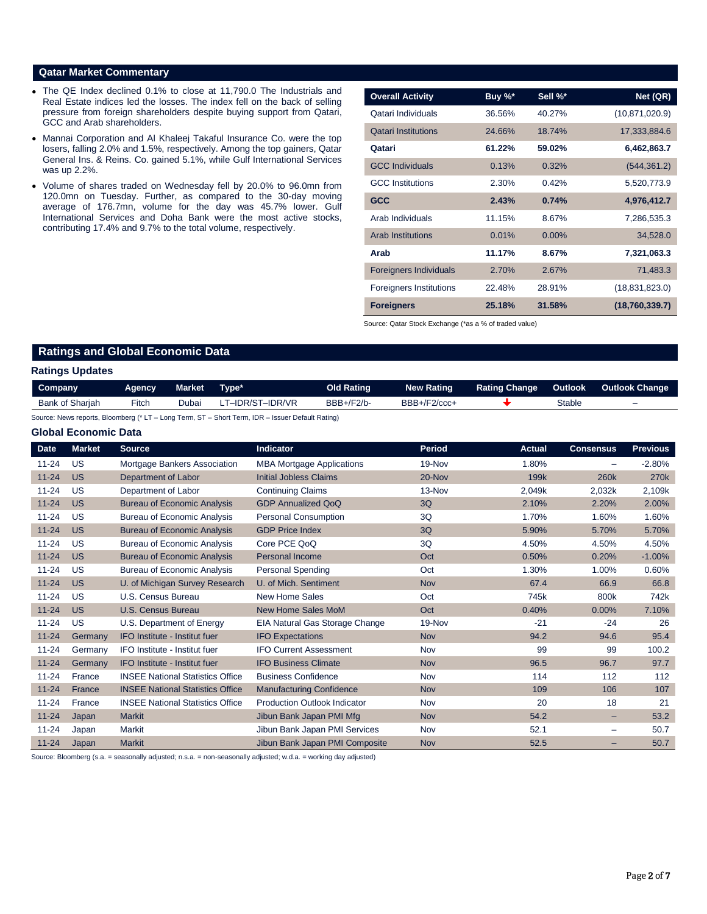### **Qatar Market Commentary**

- The QE Index declined 0.1% to close at 11,790.0 The Industrials and Real Estate indices led the losses. The index fell on the back of selling pressure from foreign shareholders despite buying support from Qatari, GCC and Arab shareholders.
- Mannai Corporation and Al Khaleej Takaful Insurance Co. were the top losers, falling 2.0% and 1.5%, respectively. Among the top gainers, Qatar General Ins. & Reins. Co. gained 5.1%, while Gulf International Services was up 2.2%.
- Volume of shares traded on Wednesday fell by 20.0% to 96.0mn from 120.0mn on Tuesday. Further, as compared to the 30-day moving average of 176.7mn, volume for the day was 45.7% lower. Gulf International Services and Doha Bank were the most active stocks, contributing 17.4% and 9.7% to the total volume, respectively.

| <b>Overall Activity</b>        | Buy %* | Sell %*  | Net (QR)         |
|--------------------------------|--------|----------|------------------|
| Qatari Individuals             | 36.56% | 40.27%   | (10, 871, 020.9) |
| <b>Qatari Institutions</b>     | 24.66% | 18.74%   | 17,333,884.6     |
| Qatari                         | 61.22% | 59.02%   | 6,462,863.7      |
| <b>GCC Individuals</b>         | 0.13%  | 0.32%    | (544, 361.2)     |
| <b>GCC</b> Institutions        | 2.30%  | 0.42%    | 5,520,773.9      |
| <b>GCC</b>                     | 2.43%  | 0.74%    | 4,976,412.7      |
| Arab Individuals               | 11.15% | 8.67%    | 7,286,535.3      |
| <b>Arab Institutions</b>       | 0.01%  | $0.00\%$ | 34,528.0         |
| Arab                           | 11.17% | 8.67%    | 7,321,063.3      |
| <b>Foreigners Individuals</b>  | 2.70%  | 2.67%    | 71,483.3         |
| <b>Foreigners Institutions</b> | 22.48% | 28.91%   | (18, 831, 823.0) |
| <b>Foreigners</b>              | 25.18% | 31.58%   | (18,760,339.7)   |

Source: Qatar Stock Exchange (\*as a % of traded value)

# **Ratings and Global Economic Data**

### **Ratings Updates**

| Company         | Agency | Market | Tvpe*           | Old Rating | <b>New Rating</b> | <b>Rating Change</b> | Outlook | Outlook Change |
|-----------------|--------|--------|-----------------|------------|-------------------|----------------------|---------|----------------|
| Bank of Sharjah | Fitch  | Dubai  | T–IDR/ST–IDR/VR | BBB+/F2/b- | BBB+/F2/ccc+      |                      | Stable  | -              |

Source: News reports, Bloomberg (\* LT – Long Term, ST – Short Term, IDR – Issuer Default Rating)

## **Global Economic Data**

|             |               |                                         |                                     | <b>Period</b> |                  |                  |                  |
|-------------|---------------|-----------------------------------------|-------------------------------------|---------------|------------------|------------------|------------------|
| <b>Date</b> | <b>Market</b> | <b>Source</b>                           | <b>Indicator</b>                    |               | <b>Actual</b>    | <b>Consensus</b> | <b>Previous</b>  |
| $11 - 24$   | US            | Mortgage Bankers Association            | <b>MBA Mortgage Applications</b>    | 19-Nov        | 1.80%            |                  | $-2.80%$         |
| $11 - 24$   | <b>US</b>     | Department of Labor                     | <b>Initial Jobless Claims</b>       | 20-Nov        | 199 <sub>k</sub> | <b>260k</b>      | 270 <sub>k</sub> |
| $11 - 24$   | US            | Department of Labor                     | <b>Continuing Claims</b>            | 13-Nov        | 2.049k           | 2,032k           | 2.109k           |
| $11 - 24$   | <b>US</b>     | <b>Bureau of Economic Analysis</b>      | <b>GDP Annualized QoQ</b>           | 3Q            | 2.10%            | 2.20%            | 2.00%            |
| $11 - 24$   | <b>US</b>     | <b>Bureau of Economic Analysis</b>      | <b>Personal Consumption</b>         | 3Q            | 1.70%            | 1.60%            | 1.60%            |
| $11 - 24$   | <b>US</b>     | <b>Bureau of Economic Analysis</b>      | <b>GDP Price Index</b>              | 3Q            | 5.90%            | 5.70%            | 5.70%            |
| $11 - 24$   | US            | <b>Bureau of Economic Analysis</b>      | Core PCE QoQ                        | 3Q            | 4.50%            | 4.50%            | 4.50%            |
| $11 - 24$   | <b>US</b>     | <b>Bureau of Economic Analysis</b>      | <b>Personal Income</b>              | Oct           | 0.50%            | 0.20%            | $-1.00%$         |
| $11 - 24$   | <b>US</b>     | <b>Bureau of Economic Analysis</b>      | <b>Personal Spending</b>            | Oct           | 1.30%            | 1.00%            | 0.60%            |
| $11 - 24$   | <b>US</b>     | U. of Michigan Survey Research          | U. of Mich. Sentiment               | <b>Nov</b>    | 67.4             | 66.9             | 66.8             |
| $11 - 24$   | <b>US</b>     | U.S. Census Bureau                      | <b>New Home Sales</b>               | Oct           | 745k             | 800k             | 742k             |
| $11 - 24$   | <b>US</b>     | <b>U.S. Census Bureau</b>               | <b>New Home Sales MoM</b>           | Oct           | 0.40%            | 0.00%            | 7.10%            |
| $11 - 24$   | <b>US</b>     | U.S. Department of Energy               | EIA Natural Gas Storage Change      | 19-Nov        | $-21$            | $-24$            | 26               |
| $11 - 24$   | Germany       | IFO Institute - Institut fuer           | <b>IFO Expectations</b>             | <b>Nov</b>    | 94.2             | 94.6             | 95.4             |
| $11 - 24$   | Germany       | IFO Institute - Institut fuer           | <b>IFO Current Assessment</b>       | Nov           | 99               | 99               | 100.2            |
| $11 - 24$   | Germany       | IFO Institute - Institut fuer           | <b>IFO Business Climate</b>         | <b>Nov</b>    | 96.5             | 96.7             | 97.7             |
| $11 - 24$   | France        | <b>INSEE National Statistics Office</b> | <b>Business Confidence</b>          | Nov           | 114              | 112              | 112              |
| $11 - 24$   | France        | <b>INSEE National Statistics Office</b> | <b>Manufacturing Confidence</b>     | <b>Nov</b>    | 109              | 106              | 107              |
| $11 - 24$   | France        | <b>INSEE National Statistics Office</b> | <b>Production Outlook Indicator</b> | Nov           | 20               | 18               | 21               |
| $11 - 24$   | Japan         | <b>Markit</b>                           | Jibun Bank Japan PMI Mfg            | <b>Nov</b>    | 54.2             | -                | 53.2             |
| $11 - 24$   | Japan         | Markit                                  | Jibun Bank Japan PMI Services       | Nov           | 52.1             | -                | 50.7             |
| $11 - 24$   | Japan         | <b>Markit</b>                           | Jibun Bank Japan PMI Composite      | <b>Nov</b>    | 52.5             | -                | 50.7             |

Source: Bloomberg (s.a. = seasonally adjusted; n.s.a. = non-seasonally adjusted; w.d.a. = working day adjusted)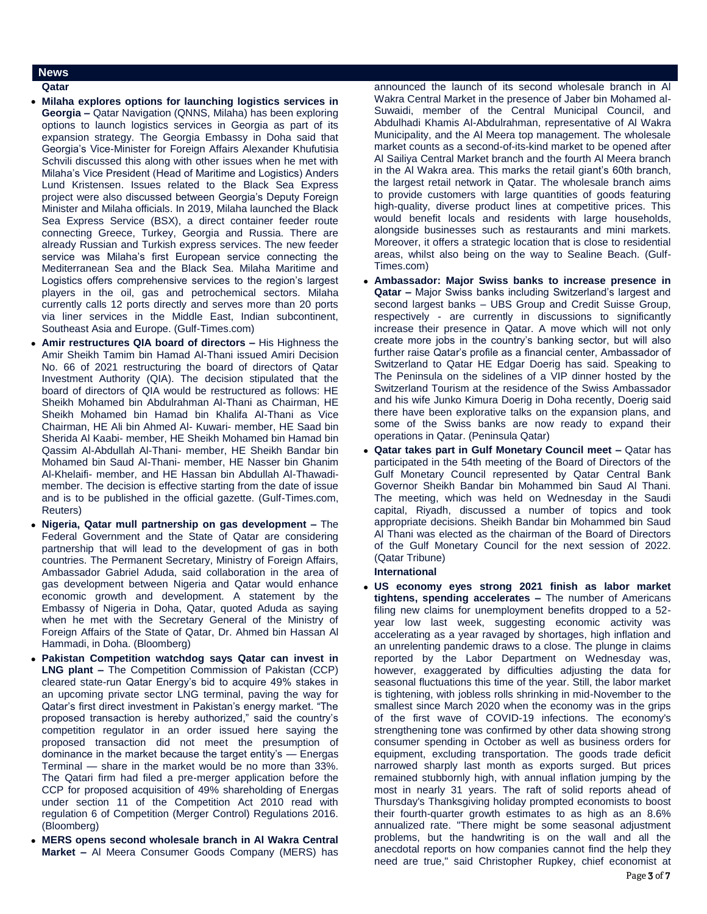### **News**

### **Qatar**

- **Milaha explores options for launching logistics services in Georgia –** Qatar Navigation (QNNS, Milaha) has been exploring options to launch logistics services in Georgia as part of its expansion strategy. The Georgia Embassy in Doha said that Georgia's Vice-Minister for Foreign Affairs Alexander Khufutisia Schvili discussed this along with other issues when he met with Milaha's Vice President (Head of Maritime and Logistics) Anders Lund Kristensen. Issues related to the Black Sea Express project were also discussed between Georgia's Deputy Foreign Minister and Milaha officials. In 2019, Milaha launched the Black Sea Express Service (BSX), a direct container feeder route connecting Greece, Turkey, Georgia and Russia. There are already Russian and Turkish express services. The new feeder service was Milaha's first European service connecting the Mediterranean Sea and the Black Sea. Milaha Maritime and Logistics offers comprehensive services to the region's largest players in the oil, gas and petrochemical sectors. Milaha currently calls 12 ports directly and serves more than 20 ports via liner services in the Middle East, Indian subcontinent, Southeast Asia and Europe. (Gulf-Times.com)
- **Amir restructures QIA board of directors –** His Highness the Amir Sheikh Tamim bin Hamad Al-Thani issued Amiri Decision No. 66 of 2021 restructuring the board of directors of Qatar Investment Authority (QIA). The decision stipulated that the board of directors of QIA would be restructured as follows: HE Sheikh Mohamed bin Abdulrahman Al-Thani as Chairman, HE Sheikh Mohamed bin Hamad bin Khalifa Al-Thani as Vice Chairman, HE Ali bin Ahmed Al- Kuwari- member, HE Saad bin Sherida Al Kaabi- member, HE Sheikh Mohamed bin Hamad bin Qassim Al-Abdullah Al-Thani- member, HE Sheikh Bandar bin Mohamed bin Saud Al-Thani- member, HE Nasser bin Ghanim Al-Khelaifi- member, and HE Hassan bin Abdullah Al-Thawadimember. The decision is effective starting from the date of issue and is to be published in the official gazette. (Gulf-Times.com, Reuters)
- **Nigeria, Qatar mull partnership on gas development –** The Federal Government and the State of Qatar are considering partnership that will lead to the development of gas in both countries. The Permanent Secretary, Ministry of Foreign Affairs, Ambassador Gabriel Aduda, said collaboration in the area of gas development between Nigeria and Qatar would enhance economic growth and development. A statement by the Embassy of Nigeria in Doha, Qatar, quoted Aduda as saying when he met with the Secretary General of the Ministry of Foreign Affairs of the State of Qatar, Dr. Ahmed bin Hassan Al Hammadi, in Doha. (Bloomberg)
- **Pakistan Competition watchdog says Qatar can invest in LNG plant –** The Competition Commission of Pakistan (CCP) cleared state-run Qatar Energy's bid to acquire 49% stakes in an upcoming private sector LNG terminal, paving the way for Qatar's first direct investment in Pakistan's energy market. "The proposed transaction is hereby authorized," said the country's competition regulator in an order issued here saying the proposed transaction did not meet the presumption of dominance in the market because the target entity's — Energas Terminal — share in the market would be no more than 33%. The Qatari firm had filed a pre-merger application before the CCP for proposed acquisition of 49% shareholding of Energas under section 11 of the Competition Act 2010 read with regulation 6 of Competition (Merger Control) Regulations 2016. (Bloomberg)
- **MERS opens second wholesale branch in Al Wakra Central Market –** Al Meera Consumer Goods Company (MERS) has

announced the launch of its second wholesale branch in Al Wakra Central Market in the presence of Jaber bin Mohamed al-Suwaidi, member of the Central Municipal Council, and Abdulhadi Khamis Al-Abdulrahman, representative of Al Wakra Municipality, and the Al Meera top management. The wholesale market counts as a second-of-its-kind market to be opened after Al Sailiya Central Market branch and the fourth Al Meera branch in the Al Wakra area. This marks the retail giant's 60th branch, the largest retail network in Qatar. The wholesale branch aims to provide customers with large quantities of goods featuring high-quality, diverse product lines at competitive prices. This would benefit locals and residents with large households, alongside businesses such as restaurants and mini markets. Moreover, it offers a strategic location that is close to residential areas, whilst also being on the way to Sealine Beach. (Gulf-Times.com)

- **Ambassador: Major Swiss banks to increase presence in Qatar –** Major Swiss banks including Switzerland's largest and second largest banks – UBS Group and Credit Suisse Group, respectively - are currently in discussions to significantly increase their presence in Qatar. A move which will not only create more jobs in the country's banking sector, but will also further raise Qatar's profile as a financial center, Ambassador of Switzerland to Qatar HE Edgar Doerig has said. Speaking to The Peninsula on the sidelines of a VIP dinner hosted by the Switzerland Tourism at the residence of the Swiss Ambassador and his wife Junko Kimura Doerig in Doha recently, Doerig said there have been explorative talks on the expansion plans, and some of the Swiss banks are now ready to expand their operations in Qatar. (Peninsula Qatar)
- **Qatar takes part in Gulf Monetary Council meet –** Qatar has participated in the 54th meeting of the Board of Directors of the Gulf Monetary Council represented by Qatar Central Bank Governor Sheikh Bandar bin Mohammed bin Saud Al Thani. The meeting, which was held on Wednesday in the Saudi capital, Riyadh, discussed a number of topics and took appropriate decisions. Sheikh Bandar bin Mohammed bin Saud Al Thani was elected as the chairman of the Board of Directors of the Gulf Monetary Council for the next session of 2022. (Qatar Tribune)

**International**

 **US economy eyes strong 2021 finish as labor market tightens, spending accelerates –** The number of Americans filing new claims for unemployment benefits dropped to a 52 year low last week, suggesting economic activity was accelerating as a year ravaged by shortages, high inflation and an unrelenting pandemic draws to a close. The plunge in claims reported by the Labor Department on Wednesday was, however, exaggerated by difficulties adjusting the data for seasonal fluctuations this time of the year. Still, the labor market is tightening, with jobless rolls shrinking in mid-November to the smallest since March 2020 when the economy was in the grips of the first wave of COVID-19 infections. The economy's strengthening tone was confirmed by other data showing strong consumer spending in October as well as business orders for equipment, excluding transportation. The goods trade deficit narrowed sharply last month as exports surged. But prices remained stubbornly high, with annual inflation jumping by the most in nearly 31 years. The raft of solid reports ahead of Thursday's Thanksgiving holiday prompted economists to boost their fourth-quarter growth estimates to as high as an 8.6% annualized rate. "There might be some seasonal adjustment problems, but the handwriting is on the wall and all the anecdotal reports on how companies cannot find the help they need are true," said Christopher Rupkey, chief economist at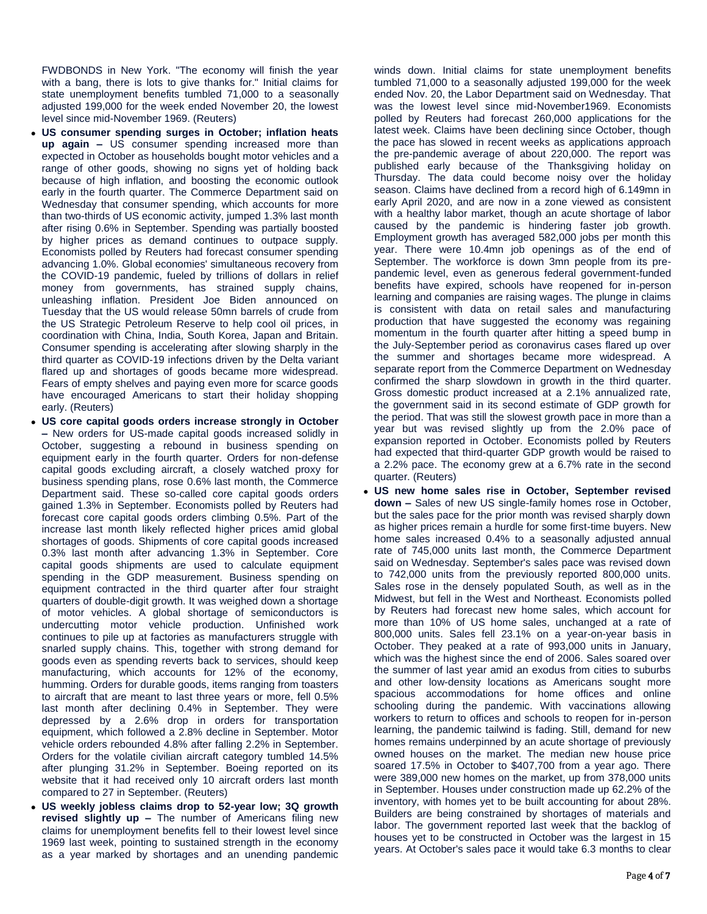FWDBONDS in New York. "The economy will finish the year with a bang, there is lots to give thanks for." Initial claims for state unemployment benefits tumbled 71,000 to a seasonally adjusted 199,000 for the week ended November 20, the lowest level since mid-November 1969. (Reuters)

- **US consumer spending surges in October; inflation heats up again –** US consumer spending increased more than expected in October as households bought motor vehicles and a range of other goods, showing no signs yet of holding back because of high inflation, and boosting the economic outlook early in the fourth quarter. The Commerce Department said on Wednesday that consumer spending, which accounts for more than two-thirds of US economic activity, jumped 1.3% last month after rising 0.6% in September. Spending was partially boosted by higher prices as demand continues to outpace supply. Economists polled by Reuters had forecast consumer spending advancing 1.0%. Global economies' simultaneous recovery from the COVID-19 pandemic, fueled by trillions of dollars in relief money from governments, has strained supply chains, unleashing inflation. President Joe Biden announced on Tuesday that the US would release 50mn barrels of crude from the US Strategic Petroleum Reserve to help cool oil prices, in coordination with China, India, South Korea, Japan and Britain. Consumer spending is accelerating after slowing sharply in the third quarter as COVID-19 infections driven by the Delta variant flared up and shortages of goods became more widespread. Fears of empty shelves and paying even more for scarce goods have encouraged Americans to start their holiday shopping early. (Reuters)
- **US core capital goods orders increase strongly in October –** New orders for US-made capital goods increased solidly in October, suggesting a rebound in business spending on equipment early in the fourth quarter. Orders for non-defense capital goods excluding aircraft, a closely watched proxy for business spending plans, rose 0.6% last month, the Commerce Department said. These so-called core capital goods orders gained 1.3% in September. Economists polled by Reuters had forecast core capital goods orders climbing 0.5%. Part of the increase last month likely reflected higher prices amid global shortages of goods. Shipments of core capital goods increased 0.3% last month after advancing 1.3% in September. Core capital goods shipments are used to calculate equipment spending in the GDP measurement. Business spending on equipment contracted in the third quarter after four straight quarters of double-digit growth. It was weighed down a shortage of motor vehicles. A global shortage of semiconductors is undercutting motor vehicle production. Unfinished work continues to pile up at factories as manufacturers struggle with snarled supply chains. This, together with strong demand for goods even as spending reverts back to services, should keep manufacturing, which accounts for 12% of the economy, humming. Orders for durable goods, items ranging from toasters to aircraft that are meant to last three years or more, fell 0.5% last month after declining 0.4% in September. They were depressed by a 2.6% drop in orders for transportation equipment, which followed a 2.8% decline in September. Motor vehicle orders rebounded 4.8% after falling 2.2% in September. Orders for the volatile civilian aircraft category tumbled 14.5% after plunging 31.2% in September. Boeing reported on its website that it had received only 10 aircraft orders last month compared to 27 in September. (Reuters)
- **US weekly jobless claims drop to 52-year low; 3Q growth revised slightly up –** The number of Americans filing new claims for unemployment benefits fell to their lowest level since 1969 last week, pointing to sustained strength in the economy as a year marked by shortages and an unending pandemic

winds down. Initial claims for state unemployment benefits tumbled 71,000 to a seasonally adjusted 199,000 for the week ended Nov. 20, the Labor Department said on Wednesday. That was the lowest level since mid-November1969. Economists polled by Reuters had forecast 260,000 applications for the latest week. Claims have been declining since October, though the pace has slowed in recent weeks as applications approach the pre-pandemic average of about 220,000. The report was published early because of the Thanksgiving holiday on Thursday. The data could become noisy over the holiday season. Claims have declined from a record high of 6.149mn in early April 2020, and are now in a zone viewed as consistent with a healthy labor market, though an acute shortage of labor caused by the pandemic is hindering faster job growth. Employment growth has averaged 582,000 jobs per month this year. There were 10.4mn job openings as of the end of September. The workforce is down 3mn people from its prepandemic level, even as generous federal government-funded benefits have expired, schools have reopened for in-person learning and companies are raising wages. The plunge in claims is consistent with data on retail sales and manufacturing production that have suggested the economy was regaining momentum in the fourth quarter after hitting a speed bump in the July-September period as coronavirus cases flared up over the summer and shortages became more widespread. A separate report from the Commerce Department on Wednesday confirmed the sharp slowdown in growth in the third quarter. Gross domestic product increased at a 2.1% annualized rate, the government said in its second estimate of GDP growth for the period. That was still the slowest growth pace in more than a year but was revised slightly up from the 2.0% pace of expansion reported in October. Economists polled by Reuters had expected that third-quarter GDP growth would be raised to a 2.2% pace. The economy grew at a 6.7% rate in the second quarter. (Reuters)

 **US new home sales rise in October, September revised down –** Sales of new US single-family homes rose in October, but the sales pace for the prior month was revised sharply down as higher prices remain a hurdle for some first-time buyers. New home sales increased 0.4% to a seasonally adjusted annual rate of 745,000 units last month, the Commerce Department said on Wednesday. September's sales pace was revised down to 742,000 units from the previously reported 800,000 units. Sales rose in the densely populated South, as well as in the Midwest, but fell in the West and Northeast. Economists polled by Reuters had forecast new home sales, which account for more than 10% of US home sales, unchanged at a rate of 800,000 units. Sales fell 23.1% on a year-on-year basis in October. They peaked at a rate of 993,000 units in January, which was the highest since the end of 2006. Sales soared over the summer of last year amid an exodus from cities to suburbs and other low-density locations as Americans sought more spacious accommodations for home offices and online schooling during the pandemic. With vaccinations allowing workers to return to offices and schools to reopen for in-person learning, the pandemic tailwind is fading. Still, demand for new homes remains underpinned by an acute shortage of previously owned houses on the market. The median new house price soared 17.5% in October to \$407,700 from a year ago. There were 389,000 new homes on the market, up from 378,000 units in September. Houses under construction made up 62.2% of the inventory, with homes yet to be built accounting for about 28%. Builders are being constrained by shortages of materials and labor. The government reported last week that the backlog of houses yet to be constructed in October was the largest in 15 years. At October's sales pace it would take 6.3 months to clear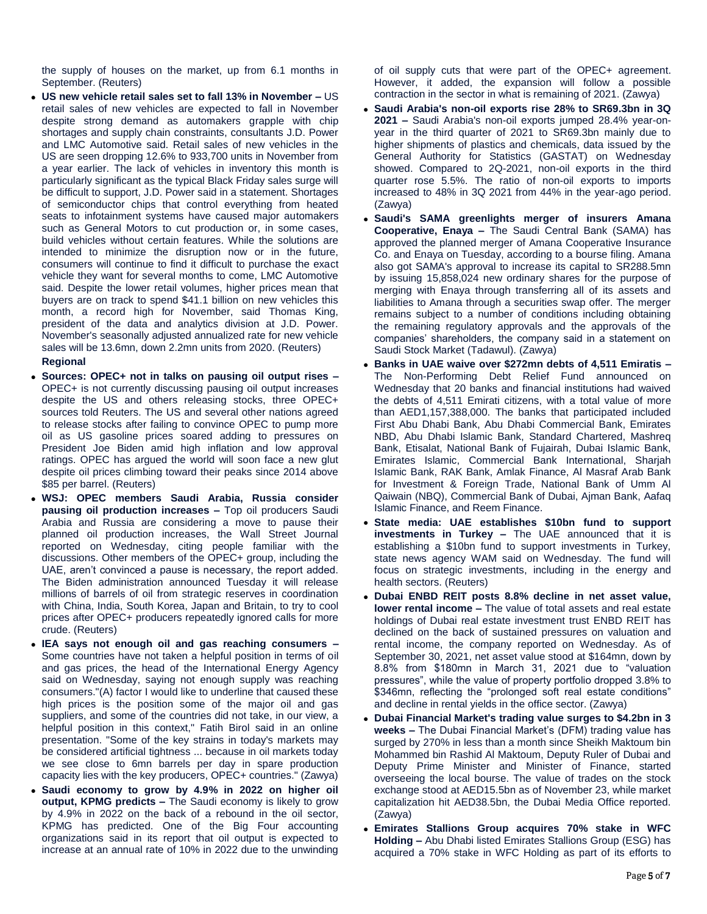the supply of houses on the market, up from 6.1 months in September. (Reuters)

- **US new vehicle retail sales set to fall 13% in November –** US retail sales of new vehicles are expected to fall in November despite strong demand as automakers grapple with chip shortages and supply chain constraints, consultants J.D. Power and LMC Automotive said. Retail sales of new vehicles in the US are seen dropping 12.6% to 933,700 units in November from a year earlier. The lack of vehicles in inventory this month is particularly significant as the typical Black Friday sales surge will be difficult to support, J.D. Power said in a statement. Shortages of semiconductor chips that control everything from heated seats to infotainment systems have caused major automakers such as General Motors to cut production or, in some cases, build vehicles without certain features. While the solutions are intended to minimize the disruption now or in the future, consumers will continue to find it difficult to purchase the exact vehicle they want for several months to come, LMC Automotive said. Despite the lower retail volumes, higher prices mean that buyers are on track to spend \$41.1 billion on new vehicles this month, a record high for November, said Thomas King, president of the data and analytics division at J.D. Power. November's seasonally adjusted annualized rate for new vehicle sales will be 13.6mn, down 2.2mn units from 2020. (Reuters) **Regional**
- **Sources: OPEC+ not in talks on pausing oil output rises –** OPEC+ is not currently discussing pausing oil output increases despite the US and others releasing stocks, three OPEC+ sources told Reuters. The US and several other nations agreed to release stocks after failing to convince OPEC to pump more oil as US gasoline prices soared adding to pressures on President Joe Biden amid high inflation and low approval ratings. OPEC has argued the world will soon face a new glut despite oil prices climbing toward their peaks since 2014 above \$85 per barrel. (Reuters)
- **WSJ: OPEC members Saudi Arabia, Russia consider pausing oil production increases –** Top oil producers Saudi Arabia and Russia are considering a move to pause their planned oil production increases, the Wall Street Journal reported on Wednesday, citing people familiar with the discussions. Other members of the OPEC+ group, including the UAE, aren't convinced a pause is necessary, the report added. The Biden administration announced Tuesday it will release millions of barrels of oil from strategic reserves in coordination with China, India, South Korea, Japan and Britain, to try to cool prices after OPEC+ producers repeatedly ignored calls for more crude. (Reuters)
- **IEA says not enough oil and gas reaching consumers –** Some countries have not taken a helpful position in terms of oil and gas prices, the head of the International Energy Agency said on Wednesday, saying not enough supply was reaching consumers."(A) factor I would like to underline that caused these high prices is the position some of the major oil and gas suppliers, and some of the countries did not take, in our view, a helpful position in this context," Fatih Birol said in an online presentation. "Some of the key strains in today's markets may be considered artificial tightness ... because in oil markets today we see close to 6mn barrels per day in spare production capacity lies with the key producers, OPEC+ countries." (Zawya)
- **Saudi economy to grow by 4.9% in 2022 on higher oil output, KPMG predicts –** The Saudi economy is likely to grow by 4.9% in 2022 on the back of a rebound in the oil sector, KPMG has predicted. One of the Big Four accounting organizations said in its report that oil output is expected to increase at an annual rate of 10% in 2022 due to the unwinding

of oil supply cuts that were part of the OPEC+ agreement. However, it added, the expansion will follow a possible contraction in the sector in what is remaining of 2021. (Zawya)

- **Saudi Arabia's non-oil exports rise 28% to SR69.3bn in 3Q 2021 –** Saudi Arabia's non-oil exports jumped 28.4% year-onyear in the third quarter of 2021 to SR69.3bn mainly due to higher shipments of plastics and chemicals, data issued by the General Authority for Statistics (GASTAT) on Wednesday showed. Compared to 2Q-2021, non-oil exports in the third quarter rose 5.5%. The ratio of non-oil exports to imports increased to 48% in 3Q 2021 from 44% in the year-ago period. (Zawya)
- **Saudi's SAMA greenlights merger of insurers Amana Cooperative, Enaya –** The Saudi Central Bank (SAMA) has approved the planned merger of Amana Cooperative Insurance Co. and Enaya on Tuesday, according to a bourse filing. Amana also got SAMA's approval to increase its capital to SR288.5mn by issuing 15,858,024 new ordinary shares for the purpose of merging with Enaya through transferring all of its assets and liabilities to Amana through a securities swap offer. The merger remains subject to a number of conditions including obtaining the remaining regulatory approvals and the approvals of the companies' shareholders, the company said in a statement on Saudi Stock Market (Tadawul). (Zawya)
- **Banks in UAE waive over \$272mn debts of 4,511 Emiratis –** The Non-Performing Debt Relief Fund announced on Wednesday that 20 banks and financial institutions had waived the debts of 4,511 Emirati citizens, with a total value of more than AED1,157,388,000. The banks that participated included First Abu Dhabi Bank, Abu Dhabi Commercial Bank, Emirates NBD, Abu Dhabi Islamic Bank, Standard Chartered, Mashreq Bank, Etisalat, National Bank of Fujairah, Dubai Islamic Bank, Emirates Islamic, Commercial Bank International, Sharjah Islamic Bank, RAK Bank, Amlak Finance, Al Masraf Arab Bank for Investment & Foreign Trade, National Bank of Umm Al Qaiwain (NBQ), Commercial Bank of Dubai, Ajman Bank, Aafaq Islamic Finance, and Reem Finance.
- **State media: UAE establishes \$10bn fund to support investments in Turkey –** The UAE announced that it is establishing a \$10bn fund to support investments in Turkey, state news agency WAM said on Wednesday. The fund will focus on strategic investments, including in the energy and health sectors. (Reuters)
- **Dubai ENBD REIT posts 8.8% decline in net asset value, lower rental income –** The value of total assets and real estate holdings of Dubai real estate investment trust ENBD REIT has declined on the back of sustained pressures on valuation and rental income, the company reported on Wednesday. As of September 30, 2021, net asset value stood at \$164mn, down by 8.8% from \$180mn in March 31, 2021 due to "valuation pressures", while the value of property portfolio dropped 3.8% to \$346mn, reflecting the "prolonged soft real estate conditions" and decline in rental yields in the office sector. (Zawya)
- **Dubai Financial Market's trading value surges to \$4.2bn in 3 weeks –** The Dubai Financial Market's (DFM) trading value has surged by 270% in less than a month since Sheikh Maktoum bin Mohammed bin Rashid Al Maktoum, Deputy Ruler of Dubai and Deputy Prime Minister and Minister of Finance, started overseeing the local bourse. The value of trades on the stock exchange stood at AED15.5bn as of November 23, while market capitalization hit AED38.5bn, the Dubai Media Office reported. (Zawya)
- **Emirates Stallions Group acquires 70% stake in WFC Holding –** Abu Dhabi listed Emirates Stallions Group (ESG) has acquired a 70% stake in WFC Holding as part of its efforts to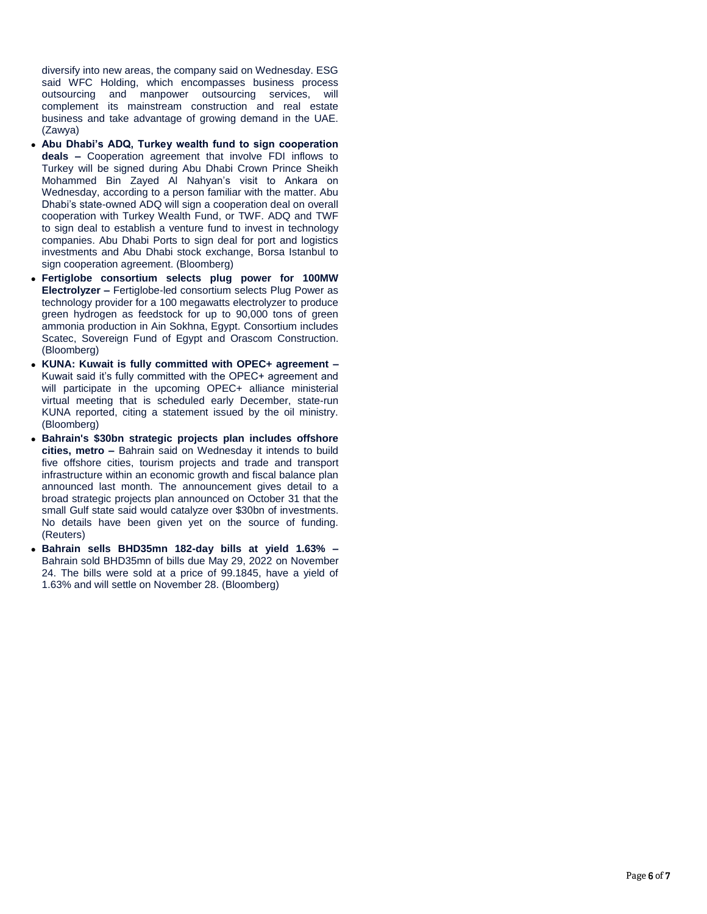diversify into new areas, the company said on Wednesday. ESG said WFC Holding, which encompasses business process outsourcing and manpower outsourcing services, will complement its mainstream construction and real estate business and take advantage of growing demand in the UAE. (Zawya)

- **Abu Dhabi's ADQ, Turkey wealth fund to sign cooperation deals –** Cooperation agreement that involve FDI inflows to Turkey will be signed during Abu Dhabi Crown Prince Sheikh Mohammed Bin Zayed Al Nahyan's visit to Ankara on Wednesday, according to a person familiar with the matter. Abu Dhabi's state-owned ADQ will sign a cooperation deal on overall cooperation with Turkey Wealth Fund, or TWF. ADQ and TWF to sign deal to establish a venture fund to invest in technology companies. Abu Dhabi Ports to sign deal for port and logistics investments and Abu Dhabi stock exchange, Borsa Istanbul to sign cooperation agreement. (Bloomberg)
- **Fertiglobe consortium selects plug power for 100MW Electrolyzer –** Fertiglobe-led consortium selects Plug Power as technology provider for a 100 megawatts electrolyzer to produce green hydrogen as feedstock for up to 90,000 tons of green ammonia production in Ain Sokhna, Egypt. Consortium includes Scatec, Sovereign Fund of Egypt and Orascom Construction. (Bloomberg)
- **KUNA: Kuwait is fully committed with OPEC+ agreement –** Kuwait said it's fully committed with the OPEC+ agreement and will participate in the upcoming OPEC+ alliance ministerial virtual meeting that is scheduled early December, state-run KUNA reported, citing a statement issued by the oil ministry. (Bloomberg)
- **Bahrain's \$30bn strategic projects plan includes offshore cities, metro –** Bahrain said on Wednesday it intends to build five offshore cities, tourism projects and trade and transport infrastructure within an economic growth and fiscal balance plan announced last month. The announcement gives detail to a broad strategic projects plan announced on October 31 that the small Gulf state said would catalyze over \$30bn of investments. No details have been given yet on the source of funding. (Reuters)
- **Bahrain sells BHD35mn 182-day bills at yield 1.63% –** Bahrain sold BHD35mn of bills due May 29, 2022 on November 24. The bills were sold at a price of 99.1845, have a yield of 1.63% and will settle on November 28. (Bloomberg)